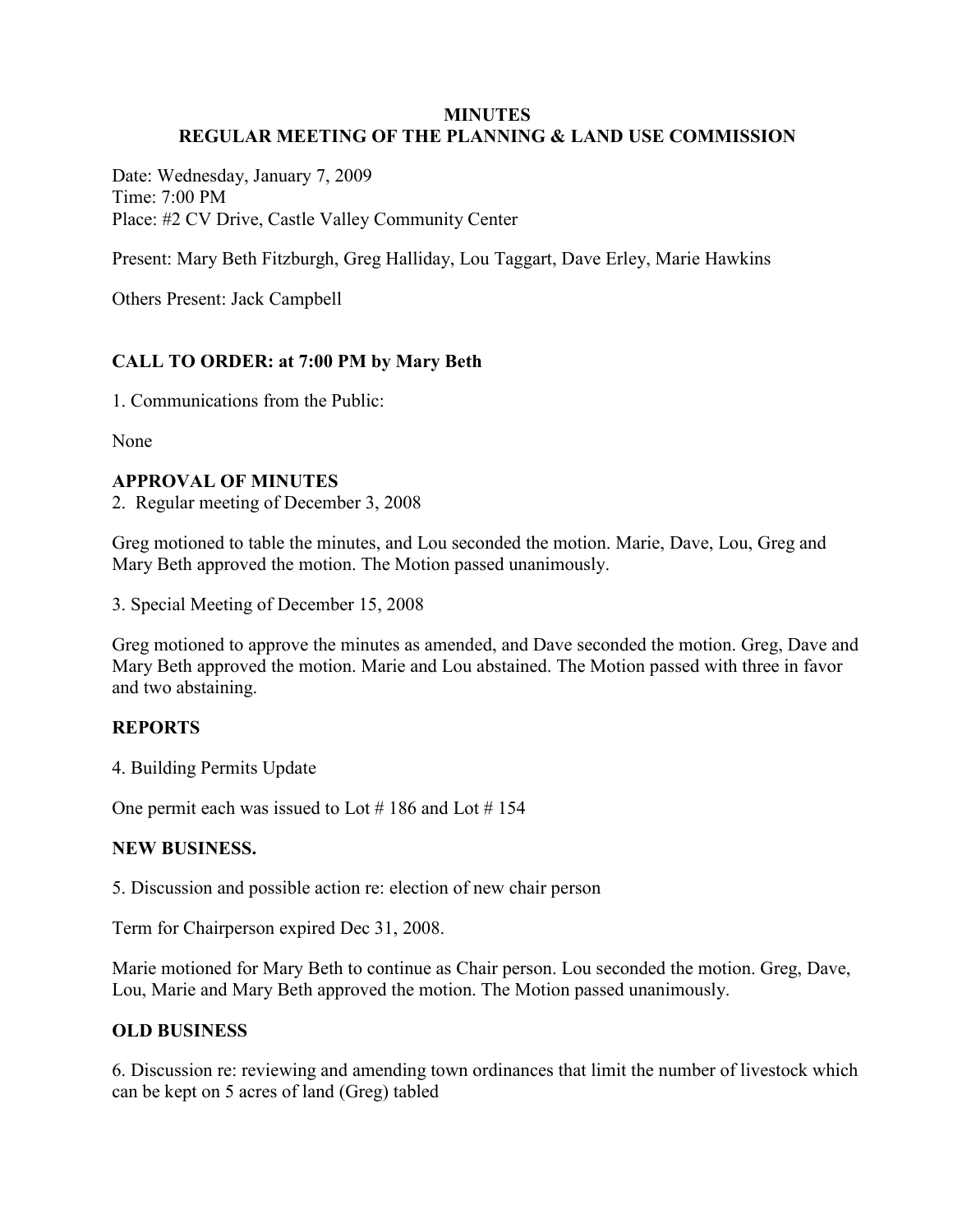#### **MINUTES REGULAR MEETING OF THE PLANNING & LAND USE COMMISSION**

Date: Wednesday, January 7, 2009 Time: 7:00 PM Place: #2 CV Drive, Castle Valley Community Center

Present: Mary Beth Fitzburgh, Greg Halliday, Lou Taggart, Dave Erley, Marie Hawkins

Others Present: Jack Campbell

# **CALL TO ORDER: at 7:00 PM by Mary Beth**

1. Communications from the Public:

None

### **APPROVAL OF MINUTES**

2. Regular meeting of December 3, 2008

Greg motioned to table the minutes, and Lou seconded the motion. Marie, Dave, Lou, Greg and Mary Beth approved the motion. The Motion passed unanimously.

3. Special Meeting of December 15, 2008

Greg motioned to approve the minutes as amended, and Dave seconded the motion. Greg, Dave and Mary Beth approved the motion. Marie and Lou abstained. The Motion passed with three in favor and two abstaining.

## **REPORTS**

4. Building Permits Update

One permit each was issued to Lot  $\#$  186 and Lot  $\#$  154

#### **NEW BUSINESS.**

5. Discussion and possible action re: election of new chair person

Term for Chairperson expired Dec 31, 2008.

Marie motioned for Mary Beth to continue as Chair person. Lou seconded the motion. Greg, Dave, Lou, Marie and Mary Beth approved the motion. The Motion passed unanimously.

## **OLD BUSINESS**

6. Discussion re: reviewing and amending town ordinances that limit the number of livestock which can be kept on 5 acres of land (Greg) tabled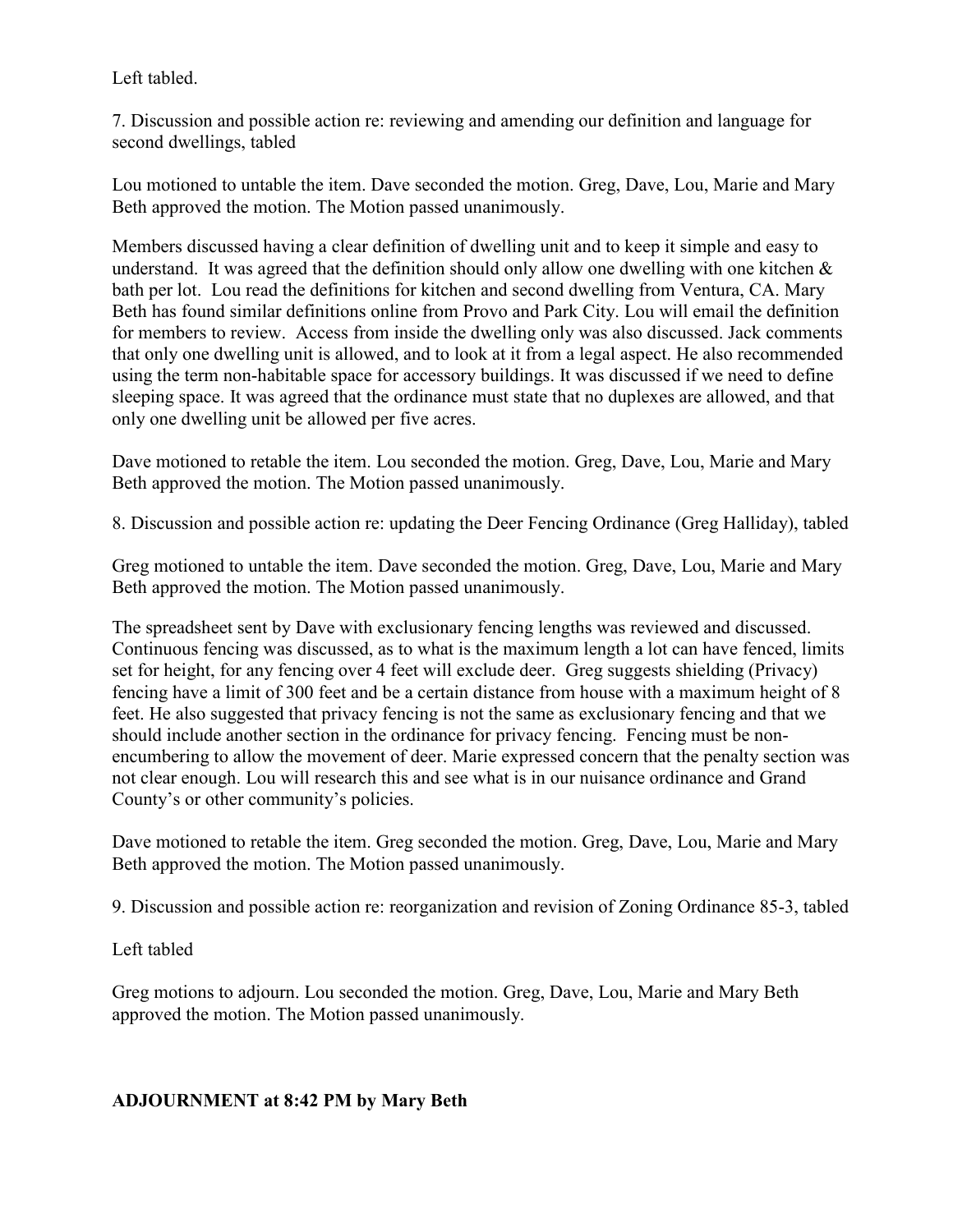Left tabled.

7. Discussion and possible action re: reviewing and amending our definition and language for second dwellings, tabled

Lou motioned to untable the item. Dave seconded the motion. Greg, Dave, Lou, Marie and Mary Beth approved the motion. The Motion passed unanimously.

Members discussed having a clear definition of dwelling unit and to keep it simple and easy to understand. It was agreed that the definition should only allow one dwelling with one kitchen  $\&$ bath per lot. Lou read the definitions for kitchen and second dwelling from Ventura, CA. Mary Beth has found similar definitions online from Provo and Park City. Lou will email the definition for members to review. Access from inside the dwelling only was also discussed. Jack comments that only one dwelling unit is allowed, and to look at it from a legal aspect. He also recommended using the term non-habitable space for accessory buildings. It was discussed if we need to define sleeping space. It was agreed that the ordinance must state that no duplexes are allowed, and that only one dwelling unit be allowed per five acres.

Dave motioned to retable the item. Lou seconded the motion. Greg, Dave, Lou, Marie and Mary Beth approved the motion. The Motion passed unanimously.

8. Discussion and possible action re: updating the Deer Fencing Ordinance (Greg Halliday), tabled

Greg motioned to untable the item. Dave seconded the motion. Greg, Dave, Lou, Marie and Mary Beth approved the motion. The Motion passed unanimously.

The spreadsheet sent by Dave with exclusionary fencing lengths was reviewed and discussed. Continuous fencing was discussed, as to what is the maximum length a lot can have fenced, limits set for height, for any fencing over 4 feet will exclude deer. Greg suggests shielding (Privacy) fencing have a limit of 300 feet and be a certain distance from house with a maximum height of 8 feet. He also suggested that privacy fencing is not the same as exclusionary fencing and that we should include another section in the ordinance for privacy fencing. Fencing must be nonencumbering to allow the movement of deer. Marie expressed concern that the penalty section was not clear enough. Lou will research this and see what is in our nuisance ordinance and Grand County's or other community's policies.

Dave motioned to retable the item. Greg seconded the motion. Greg, Dave, Lou, Marie and Mary Beth approved the motion. The Motion passed unanimously.

9. Discussion and possible action re: reorganization and revision of Zoning Ordinance 85-3, tabled

## Left tabled

Greg motions to adjourn. Lou seconded the motion. Greg, Dave, Lou, Marie and Mary Beth approved the motion. The Motion passed unanimously.

## **ADJOURNMENT at 8:42 PM by Mary Beth**